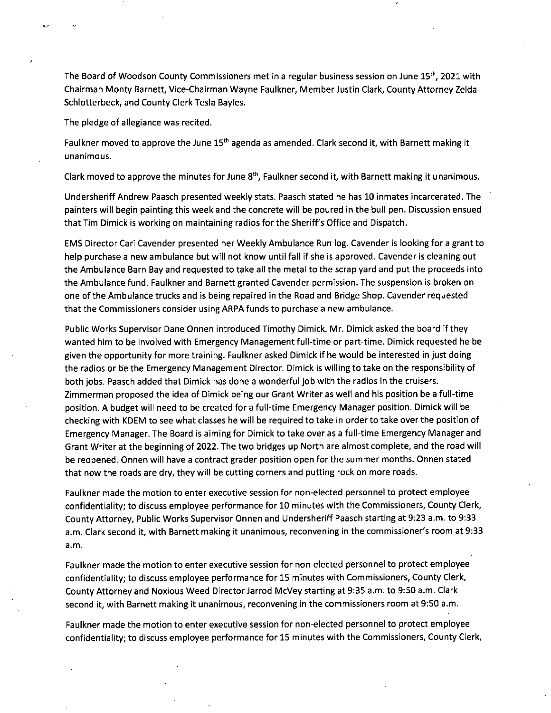The Board of Woodson County Commissioners met in a regular business session on June 15<sup>th</sup>, 2021 with Chairman Monty Barnett, Vice-Chairman Wayne Faulkner, Member Justin Clark, County Attorney Zelda Schlotterbeck, and County Clerk Tesla Bayles.

The pledge of allegiance was recited.

Faulkner moved to approve the June 15<sup>th</sup> agenda as amended. Clark second it, with Barnett making it unanimous.

Clark moved to approve the minutes for June  $8<sup>th</sup>$ , Faulkner second it, with Barnett making it unanimous.

Undersheriff Andrew Paasch presented weekly stats. Paasch stated he has 10 inmates incarcerated. The painters will begin painting this week and the concrete will be poured in the bull pen. Discussion ensued that Tim Dimick is working on maintaining radios for the Sheriff's Office and Dispatch.

EMS Director Cari Cavender presented her Weekly Ambulance Run log. Cavender is looking for a grant to help purchase a new ambulance but will not know until fall if she is approved. Cavender is cleaning out the Ambulance Barn Bay and requested to take all the metal to the scrap yard and put the proceeds into the Ambulance fund. Faulkner and Barnett granted Cavender permission. The suspension is broken on one of the Ambulance trucks and is being repaired in the Road and Bridge Shop. Cavender requested that the Commissioners consider using ARPA funds to purchase a new ambulance.

Public Works Supervisor Dane Onnen introduced Timothy Dimick. Mr. Dimick asked the board if they wanted him to be involved with Emergency Management full-time or part-time. Dimick requested he be given the opportunity for more training. Faulkner asked Dimick if he would be interested in just doing the radios or be the Emergency Management Director. Dimick is willing to take on the responsibility of both jobs. Paasch added that Dimick has done a wonderful job with the radios in the cruisers. Zimmerman proposed the idea of Dimick being our Grant Writer as well and his position be a full-time position. A budget will need to be created for a full-time Emergency Manager position. Dimick will be checking with KDEM to see what classes he will be required to take in order to take over the position of Emergency Manager. The Board is aiming for Dimick to take over as a full-time Emergency Manager and Grant Writer at the beginning of 2022. The two bridges up North are almost complete, and the road will be reopened. Onnen will have a contract grader position open for the summer months. Onnen stated that now the roads are dry, they will be cutting corners and putting rock on more roads.

Faulkner made the motion to enter executive session for non-elected personnel to protect employee confidentiality; to discuss employee performance for 10 minutes with the Commissioners, County Clerk, County Attorney, Public Works Supervisor Onnen and Undersheriff Paasch starting at 9:23 a.m. to 9:33 a.m. Clark second it, with Barnett making it unanimous, reconvening in the commissioner's room at 9:33 a.m.

Faulkner made the motion to enter executive session for non-elected personnel to protect employee confidentiality; to discuss employee performance for 15 minutes with Commissioners, County Clerk, County Attorney and Noxious Weed Director Jarrod McVey starting at 9:35 a.m. to 9:50 a.m. Clark second it, with Barnett making it unanimous, reconvening in the commissioners room at 9:50 a.m.

Faulkner made the motion to enter executive session for non-elected personnel to protect employee confidentiality; to discuss employee performance for 15 minutes with the Commissioners, County Clerk,